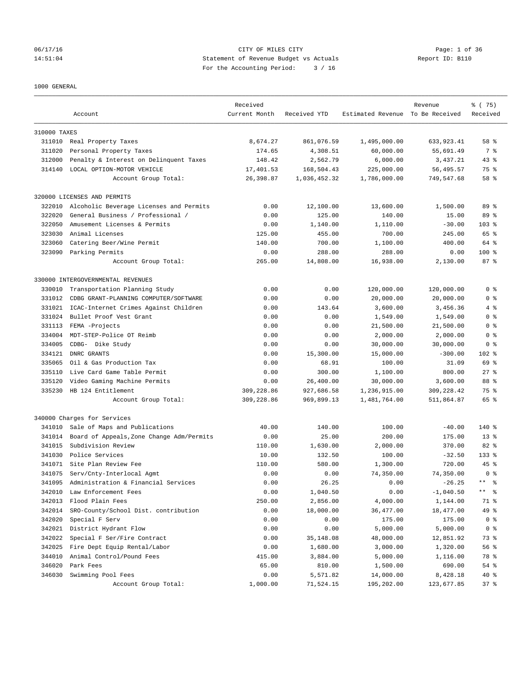## 06/17/16 CITY OF MILES CITY Page: 1 of 36 14:51:04 Statement of Revenue Budget vs Actuals Report ID: B110 For the Accounting Period: 3 / 16

### 1000 GENERAL

|              |                                           | Received      |              |                                  | Revenue     | 8 (75)              |
|--------------|-------------------------------------------|---------------|--------------|----------------------------------|-------------|---------------------|
|              | Account                                   | Current Month | Received YTD | Estimated Revenue To Be Received |             | Received            |
|              |                                           |               |              |                                  |             |                     |
| 310000 TAXES |                                           |               |              |                                  |             |                     |
|              | 311010 Real Property Taxes                | 8,674.27      | 861,076.59   | 1,495,000.00                     | 633,923.41  | 58 %                |
| 311020       | Personal Property Taxes                   | 174.65        | 4,308.51     | 60,000.00                        | 55,691.49   | 7 %                 |
| 312000       | Penalty & Interest on Delinquent Taxes    | 148.42        | 2,562.79     | 6,000.00                         | 3,437.21    | $43$ %              |
| 314140       | LOCAL OPTION-MOTOR VEHICLE                | 17,401.53     | 168,504.43   | 225,000.00                       | 56,495.57   | 75 %                |
|              | Account Group Total:                      | 26,398.87     | 1,036,452.32 | 1,786,000.00                     | 749,547.68  | 58 %                |
|              | 320000 LICENSES AND PERMITS               |               |              |                                  |             |                     |
| 322010       | Alcoholic Beverage Licenses and Permits   | 0.00          | 12,100.00    | 13,600.00                        | 1,500.00    | 89 %                |
| 322020       | General Business / Professional /         | 0.00          | 125.00       | 140.00                           | 15.00       | 89 %                |
| 322050       | Amusement Licenses & Permits              | 0.00          | 1,140.00     | 1,110.00                         | $-30.00$    | $103*$              |
| 323030       | Animal Licenses                           | 125.00        | 455.00       | 700.00                           | 245.00      | 65 %                |
| 323060       | Catering Beer/Wine Permit                 | 140.00        | 700.00       | 1,100.00                         | 400.00      | 64 %                |
| 323090       |                                           |               | 288.00       |                                  |             | $100$ %             |
|              | Parking Permits                           | 0.00          |              | 288.00                           | 0.00        |                     |
|              | Account Group Total:                      | 265.00        | 14,808.00    | 16,938.00                        | 2,130.00    | 87%                 |
|              | 330000 INTERGOVERNMENTAL REVENUES         |               |              |                                  |             |                     |
| 330010       | Transportation Planning Study             | 0.00          | 0.00         | 120,000.00                       | 120,000.00  | 0 <sup>8</sup>      |
| 331012       | CDBG GRANT-PLANNING COMPUTER/SOFTWARE     | 0.00          | 0.00         | 20,000.00                        | 20,000.00   | 0 <sup>8</sup>      |
| 331021       | ICAC-Internet Crimes Against Children     | 0.00          | 143.64       | 3,600.00                         | 3,456.36    | 4 %                 |
| 331024       | Bullet Proof Vest Grant                   | 0.00          | 0.00         | 1,549.00                         | 1,549.00    | 0 <sup>8</sup>      |
| 331113       | FEMA -Projects                            | 0.00          | 0.00         | 21,500.00                        | 21,500.00   | 0 %                 |
| 334004       | MDT-STEP-Police OT Reimb                  | 0.00          | 0.00         | 2,000.00                         | 2,000.00    | 0 <sup>8</sup>      |
| 334005       | CDBG- Dike Study                          | 0.00          | 0.00         | 30,000.00                        | 30,000.00   | 0 <sup>8</sup>      |
| 334121       | DNRC GRANTS                               | 0.00          | 15,300.00    | 15,000.00                        | $-300.00$   | 102 %               |
| 335065       | Oil & Gas Production Tax                  | 0.00          | 68.91        | 100.00                           | 31.09       | 69 %                |
| 335110       | Live Card Game Table Permit               | 0.00          | 300.00       | 1,100.00                         | 800.00      | $27$ $%$            |
| 335120       | Video Gaming Machine Permits              | 0.00          | 26,400.00    | 30,000.00                        | 3,600.00    | 88 %                |
| 335230       | HB 124 Entitlement                        | 309,228.86    | 927,686.58   | 1,236,915.00                     | 309, 228.42 | 75 %                |
|              | Account Group Total:                      | 309,228.86    | 969,899.13   | 1,481,764.00                     | 511,864.87  | 65 %                |
|              | 340000 Charges for Services               |               |              |                                  |             |                     |
| 341010       | Sale of Maps and Publications             | 40.00         | 140.00       | 100.00                           | $-40.00$    | 140 %               |
| 341014       | Board of Appeals, Zone Change Adm/Permits | 0.00          | 25.00        | 200.00                           | 175.00      | $13*$               |
| 341015       | Subdivision Review                        | 110.00        | 1,630.00     | 2,000.00                         | 370.00      | 82 %                |
| 341030       | Police Services                           | 10.00         | 132.50       | 100.00                           | $-32.50$    | $133$ $%$           |
| 341071       | Site Plan Review Fee                      | 110.00        | 580.00       | 1,300.00                         | 720.00      | $45$ %              |
| 341075       | Serv/Cnty-Interlocal Agmt                 | 0.00          | 0.00         | 74,350.00                        | 74,350.00   | 0 <sup>8</sup>      |
|              | Administration & Financial Services       |               |              |                                  |             | $***$<br>್ಠಿ        |
| 341095       |                                           | 0.00          | 26.25        | 0.00                             | $-26.25$    | $\star\star$<br>್ಠಿ |
| 342010       | Law Enforcement Fees                      | 0.00          | 1,040.50     | 0.00                             | $-1,040.50$ |                     |
| 342013       | Flood Plain Fees                          | 250.00        | 2,856.00     | 4,000.00                         | 1,144.00    | 71 %                |
| 342014       | SRO-County/School Dist. contribution      | 0.00          | 18,000.00    | 36, 477.00                       | 18,477.00   | 49 %                |
| 342020       | Special F Serv                            | 0.00          | 0.00         | 175.00                           | 175.00      | 0 <sup>8</sup>      |
| 342021       | District Hydrant Flow                     | 0.00          | 0.00         | 5,000.00                         | 5,000.00    | 0 <sup>8</sup>      |
| 342022       | Special F Ser/Fire Contract               | 0.00          | 35,148.08    | 48,000.00                        | 12,851.92   | 73 %                |
| 342025       | Fire Dept Equip Rental/Labor              | 0.00          | 1,680.00     | 3,000.00                         | 1,320.00    | 56 %                |
| 344010       | Animal Control/Pound Fees                 | 415.00        | 3,884.00     | 5,000.00                         | 1,116.00    | 78 %                |
| 346020       | Park Fees                                 | 65.00         | 810.00       | 1,500.00                         | 690.00      | $54$ $%$            |
| 346030       | Swimming Pool Fees                        | 0.00          | 5,571.82     | 14,000.00                        | 8,428.18    | 40 %                |
|              | Account Group Total:                      | 1,000.00      | 71,524.15    | 195,202.00                       | 123,677.85  | 37%                 |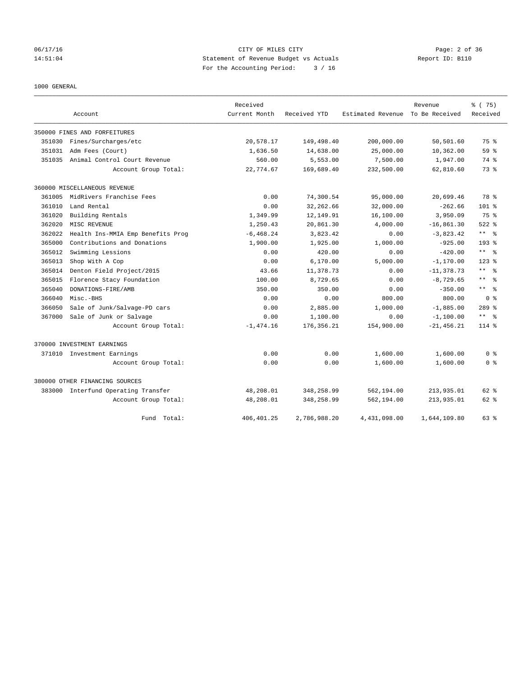# 06/17/16 CITY OF MILES CITY Page: 2 of 36 14:51:04 Statement of Revenue Budget vs Actuals Report ID: B110 For the Accounting Period: 3 / 16

1000 GENERAL

|        |                                   | Received      |              |                   | Revenue        | 8 (75)                       |
|--------|-----------------------------------|---------------|--------------|-------------------|----------------|------------------------------|
|        | Account                           | Current Month | Received YTD | Estimated Revenue | To Be Received | Received                     |
|        | 350000 FINES AND FORFEITURES      |               |              |                   |                |                              |
| 351030 | Fines/Surcharges/etc              | 20,578.17     | 149,498.40   | 200,000.00        | 50,501.60      | 75 %                         |
| 351031 | Adm Fees (Court)                  | 1,636.50      | 14,638.00    | 25,000.00         | 10,362.00      | 59 %                         |
| 351035 | Animal Control Court Revenue      | 560.00        | 5,553.00     | 7,500.00          | 1,947.00       | 74 %                         |
|        | Account Group Total:              | 22,774.67     | 169,689.40   | 232,500.00        | 62,810.60      | 73.8                         |
|        | 360000 MISCELLANEOUS REVENUE      |               |              |                   |                |                              |
| 361005 | MidRivers Franchise Fees          | 0.00          | 74,300.54    | 95,000.00         | 20,699.46      | 78 %                         |
| 361010 | Land Rental                       | 0.00          | 32,262.66    | 32,000.00         | $-262.66$      | $101$ %                      |
| 361020 | Building Rentals                  | 1,349.99      | 12,149.91    | 16,100.00         | 3,950.09       | 75 %                         |
| 362020 | MISC REVENUE                      | 1,250.43      | 20,861.30    | 4,000.00          | $-16,861.30$   | $522$ $%$                    |
| 362022 | Health Ins-MMIA Emp Benefits Prog | $-6, 468.24$  | 3,823.42     | 0.00              | $-3,823.42$    | $***$ $ -$                   |
| 365000 | Contributions and Donations       | 1,900.00      | 1,925.00     | 1,000.00          | $-925.00$      | $193$ $%$                    |
| 365012 | Swimming Lessions                 | 0.00          | 420.00       | 0.00              | $-420.00$      | $\star$ $\star$<br>ႜ         |
| 365013 | Shop With A Cop                   | 0.00          | 6,170.00     | 5,000.00          | $-1, 170.00$   | $123$ %                      |
| 365014 | Denton Field Project/2015         | 43.66         | 11,378.73    | 0.00              | $-11, 378.73$  | $\star\star$<br>- 옹          |
| 365015 | Florence Stacy Foundation         | 100.00        | 8,729.65     | 0.00              | $-8,729.65$    | $\star\star$<br>- 응          |
| 365040 | DONATIONS-FIRE/AMB                | 350.00        | 350.00       | 0.00              | $-350.00$      | $\star$ $\star$<br>$\approx$ |
| 366040 | Misc.-BHS                         | 0.00          | 0.00         | 800.00            | 800.00         | 0 <sup>8</sup>               |
| 366050 | Sale of Junk/Salvage-PD cars      | 0.00          | 2,885.00     | 1,000.00          | $-1,885.00$    | $289$ $%$                    |
| 367000 | Sale of Junk or Salvage           | 0.00          | 1,100.00     | 0.00              | $-1,100.00$    | ** *                         |
|        | Account Group Total:              | $-1, 474.16$  | 176,356.21   | 154,900.00        | $-21, 456.21$  | $114$ %                      |
|        | 370000 INVESTMENT EARNINGS        |               |              |                   |                |                              |
|        | 371010 Investment Earnings        | 0.00          | 0.00         | 1,600.00          | 1,600.00       | 0 <sup>8</sup>               |
|        | Account Group Total:              | 0.00          | 0.00         | 1,600.00          | 1,600.00       | 0 <sup>8</sup>               |
|        | 380000 OTHER FINANCING SOURCES    |               |              |                   |                |                              |
| 383000 | Interfund Operating Transfer      | 48,208.01     | 348,258.99   | 562,194.00        | 213,935.01     | $62$ $%$                     |
|        | Account Group Total:              | 48,208.01     | 348,258.99   | 562,194.00        | 213,935.01     | 62 %                         |
|        | Total:<br>Fund                    | 406, 401.25   | 2,786,988.20 | 4,431,098.00      | 1,644,109.80   | $63$ $%$                     |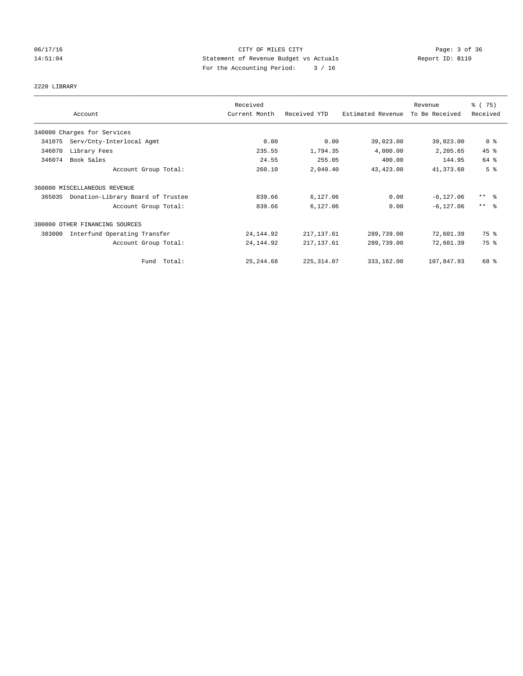# 06/17/16 CITY OF MILES CITY Page: 3 of 36 14:51:04 Statement of Revenue Budget vs Actuals Report ID: B110 For the Accounting Period: 3 / 16

# 2220 LIBRARY

|        |                                   | Received      |              |                   | Revenue        | % (75)              |
|--------|-----------------------------------|---------------|--------------|-------------------|----------------|---------------------|
|        | Account                           | Current Month | Received YTD | Estimated Revenue | To Be Received | Received            |
|        | 340000 Charges for Services       |               |              |                   |                |                     |
| 341075 | Serv/Cnty-Interlocal Agmt         | 0.00          | 0.00         | 39,023.00         | 39,023.00      | 0 <sup>8</sup>      |
| 346070 | Library Fees                      | 235.55        | 1,794.35     | 4,000.00          | 2,205.65       | 45 %                |
| 346074 | Book Sales                        | 24.55         | 255.05       | 400.00            | 144.95         | 64 %                |
|        | Account Group Total:              | 260.10        | 2,049.40     | 43,423.00         | 41,373.60      | 5 <sup>°</sup>      |
|        | 360000 MISCELLANEOUS REVENUE      |               |              |                   |                |                     |
| 365035 | Donation-Library Board of Trustee | 839.66        | 6,127.06     | 0.00              | $-6, 127.06$   | $***$ $\frac{6}{5}$ |
|        | Account Group Total:              | 839.66        | 6,127.06     | 0.00              | $-6, 127.06$   | $***$ $\frac{6}{5}$ |
|        | 380000 OTHER FINANCING SOURCES    |               |              |                   |                |                     |
| 383000 | Interfund Operating Transfer      | 24, 144.92    | 217, 137.61  | 289,739.00        | 72,601.39      | 75 %                |
|        | Account Group Total:              | 24, 144.92    | 217, 137.61  | 289,739.00        | 72,601.39      | 75 %                |
|        | Fund Total:                       | 25, 244.68    | 225, 314.07  | 333,162.00        | 107,847.93     | 68 %                |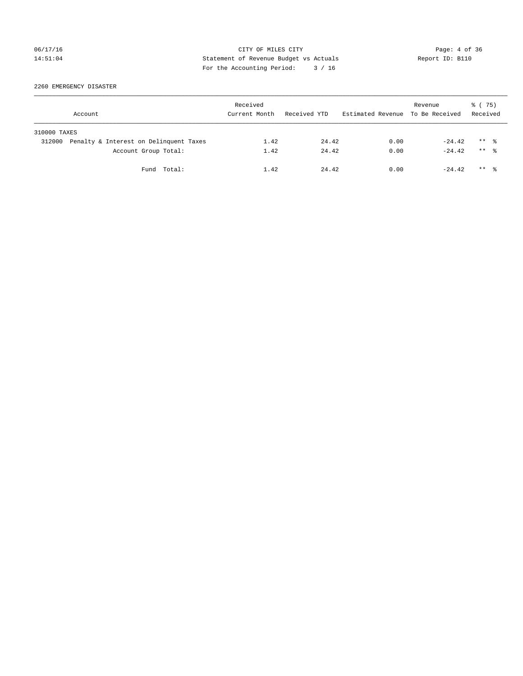# 06/17/16 CITY OF MILES CITY Page: 4 of 36 14:51:04 Statement of Revenue Budget vs Actuals Report ID: B110 For the Accounting Period: 3 / 16

2260 EMERGENCY DISASTER

|              | Account                                | Received<br>Current Month | Received YTD | Estimated Revenue To Be Received | Revenue  | 8 (75)<br>Received   |
|--------------|----------------------------------------|---------------------------|--------------|----------------------------------|----------|----------------------|
| 310000 TAXES |                                        |                           |              |                                  |          |                      |
| 312000       | Penalty & Interest on Delinquent Taxes | 1.42                      | 24.42        | 0.00                             | $-24.42$ | $***$ %              |
|              | Account Group Total:                   | 1.42                      | 24.42        | 0.00                             | $-24.42$ | $***$ $\frac{6}{10}$ |
|              | Fund Total:                            | 1.42                      | 24.42        | 0.00                             | $-24.42$ | $***$ 2              |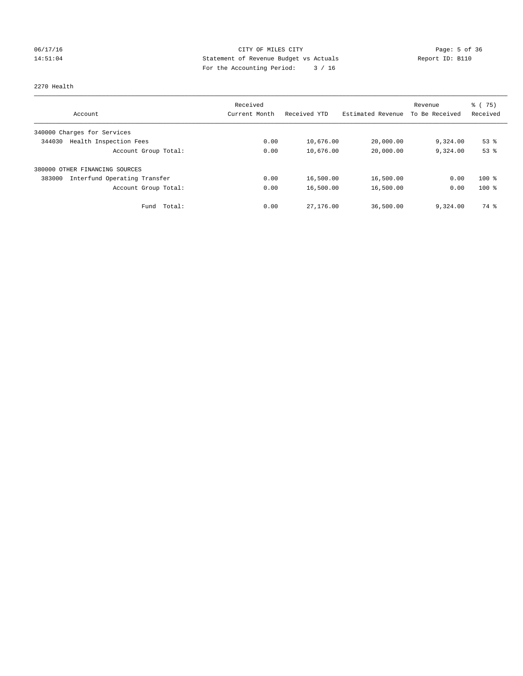# 06/17/16 CITY OF MILES CITY Page: 5 of 36 14:51:04 Statement of Revenue Budget vs Actuals Report ID: B110 For the Accounting Period: 3 / 16

### 2270 Health

|                                        | Received      |              |                   | Revenue        | $\frac{6}{6}$ (75) |
|----------------------------------------|---------------|--------------|-------------------|----------------|--------------------|
| Account                                | Current Month | Received YTD | Estimated Revenue | To Be Received | Received           |
| 340000 Charges for Services            |               |              |                   |                |                    |
| Health Inspection Fees<br>344030       | 0.00          | 10,676.00    | 20,000.00         | 9,324.00       | $53$ $%$           |
| Account Group Total:                   | 0.00          | 10,676.00    | 20,000.00         | 9,324.00       | 53%                |
| 380000 OTHER FINANCING SOURCES         |               |              |                   |                |                    |
| Interfund Operating Transfer<br>383000 | 0.00          | 16,500.00    | 16,500.00         | 0.00           | $100*$             |
| Account Group Total:                   | 0.00          | 16,500.00    | 16,500.00         | 0.00           | $100*$             |
| Total:<br>Fund                         | 0.00          | 27,176.00    | 36,500.00         | 9,324.00       | 74 %               |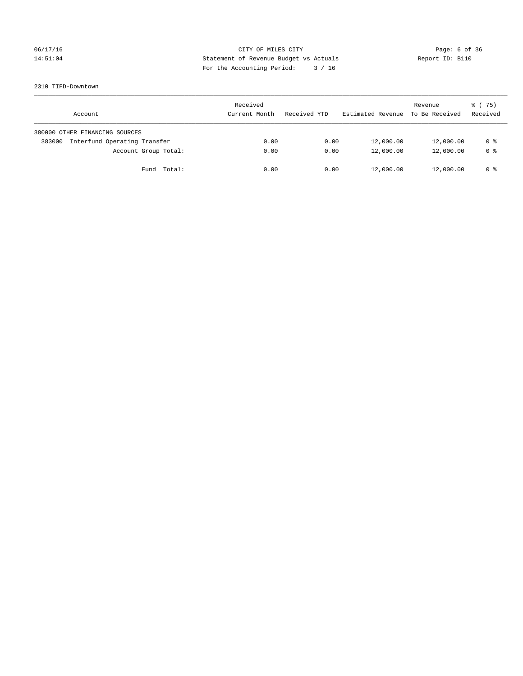# 06/17/16 CITY OF MILES CITY Page: 6 of 36 14:51:04 Statement of Revenue Budget vs Actuals Report ID: B110 For the Accounting Period: 3 / 16

### 2310 TIFD-Downtown

| Account                                | Received<br>Current Month | Received YTD | Estimated Revenue | Revenue<br>To Be Received | 8 (75)<br>Received |
|----------------------------------------|---------------------------|--------------|-------------------|---------------------------|--------------------|
| 380000 OTHER FINANCING SOURCES         |                           |              |                   |                           |                    |
| Interfund Operating Transfer<br>383000 | 0.00                      | 0.00         | 12,000.00         | 12,000.00                 | 0 %                |
| Account Group Total:                   | 0.00                      | 0.00         | 12,000.00         | 12,000.00                 | 0 <sup>8</sup>     |
| Total:<br>Fund                         | 0.00                      | 0.00         | 12,000.00         | 12,000.00                 | 0 %                |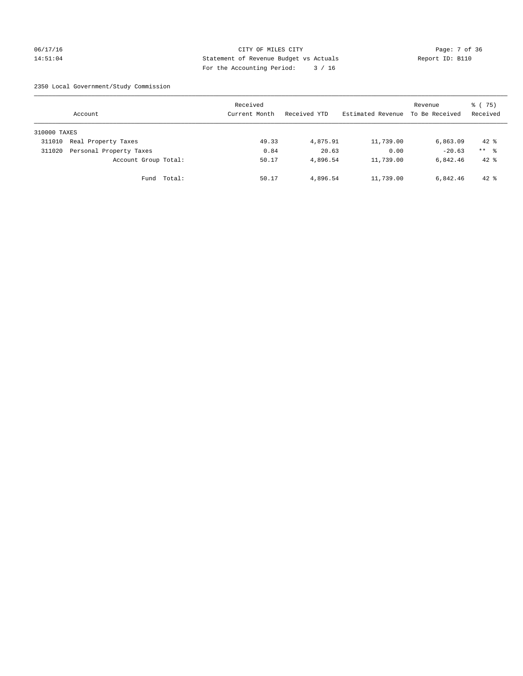## 06/17/16 CITY OF MILES CITY Page: 7 of 36 14:51:04 Statement of Revenue Budget vs Actuals Report ID: B110 For the Accounting Period: 3 / 16

2350 Local Government/Study Commission

|              | Account                 |             | Received<br>Current Month |       | Received YTD | Estimated Revenue | Revenue<br>To Be Received | 8 (75)<br>Received |
|--------------|-------------------------|-------------|---------------------------|-------|--------------|-------------------|---------------------------|--------------------|
| 310000 TAXES |                         |             |                           |       |              |                   |                           |                    |
| 311010       | Real Property Taxes     |             |                           | 49.33 | 4,875.91     | 11,739.00         | 6,863.09                  | $42*$              |
| 311020       | Personal Property Taxes |             |                           | 0.84  | 20.63        | 0.00              | $-20.63$                  | $***$ %            |
|              | Account Group Total:    |             |                           | 50.17 | 4,896.54     | 11,739.00         | 6,842.46                  | $42$ %             |
|              |                         | Fund Total: |                           | 50.17 | 4,896.54     | 11,739.00         | 6,842.46                  | $42*$              |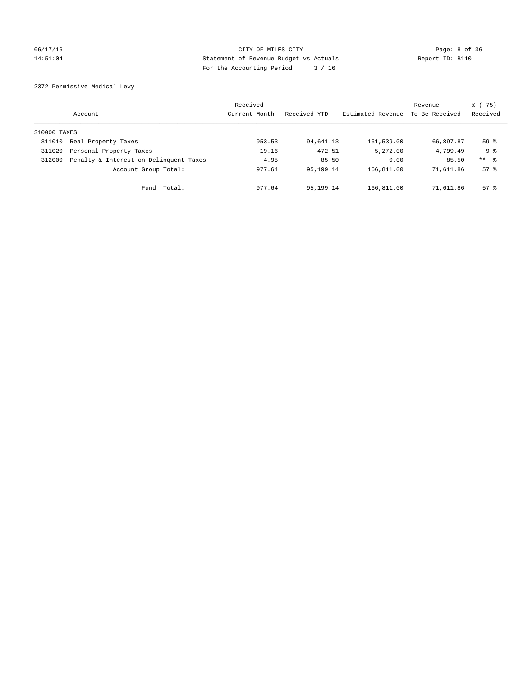## 06/17/16 CITY OF MILES CITY Page: 8 of 36 14:51:04 Statement of Revenue Budget vs Actuals Report ID: B110 For the Accounting Period: 3 / 16

2372 Permissive Medical Levy

|              | Account                                | Received<br>Current Month | Received YTD | Estimated Revenue | Revenue<br>To Be Received | % (75)<br>Received |
|--------------|----------------------------------------|---------------------------|--------------|-------------------|---------------------------|--------------------|
| 310000 TAXES |                                        |                           |              |                   |                           |                    |
| 311010       | Real Property Taxes                    | 953.53                    | 94,641.13    | 161,539.00        | 66,897.87                 | 59 <sup>°</sup>    |
| 311020       | Personal Property Taxes                | 19.16                     | 472.51       | 5,272.00          | 4,799.49                  | 9 %                |
| 312000       | Penalty & Interest on Delinquent Taxes | 4.95                      | 85.50        | 0.00              | $-85.50$                  | $***$ $ -$         |
|              | Account Group Total:                   | 977.64                    | 95,199.14    | 166,811.00        | 71,611.86                 | $57*$              |
|              | Fund Total:                            | 977.64                    | 95,199.14    | 166,811.00        | 71,611.86                 | $57*$              |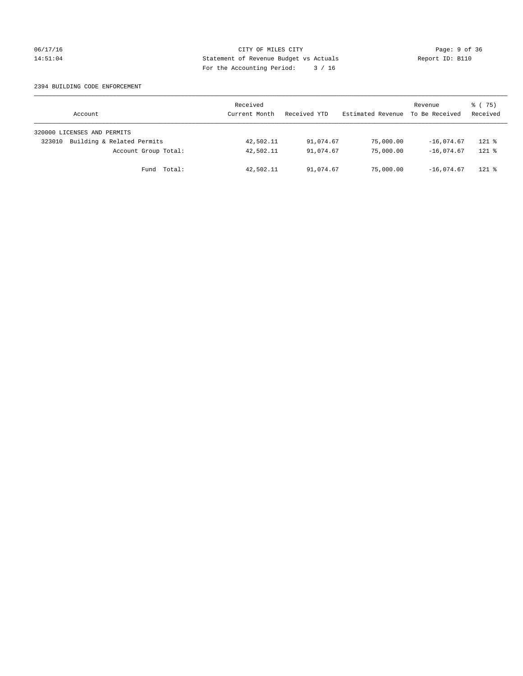## 06/17/16 CITY OF MILES CITY Page: 9 of 36 14:51:04 Statement of Revenue Budget vs Actuals Report ID: B110 For the Accounting Period: 3 / 16

### 2394 BUILDING CODE ENFORCEMENT

| Account                              | Received<br>Current Month | Received YTD | Estimated Revenue | Revenue<br>To Be Received | 8 (75)<br>Received |
|--------------------------------------|---------------------------|--------------|-------------------|---------------------------|--------------------|
| 320000 LICENSES AND PERMITS          |                           |              |                   |                           |                    |
| Building & Related Permits<br>323010 | 42,502.11                 | 91,074.67    | 75,000.00         | $-16.074.67$              | $121$ %            |
| Account Group Total:                 | 42,502.11                 | 91,074.67    | 75,000,00         | $-16.074.67$              | $121$ %            |
| Fund Total:                          | 42,502.11                 | 91,074.67    | 75,000.00         | $-16.074.67$              | $121$ %            |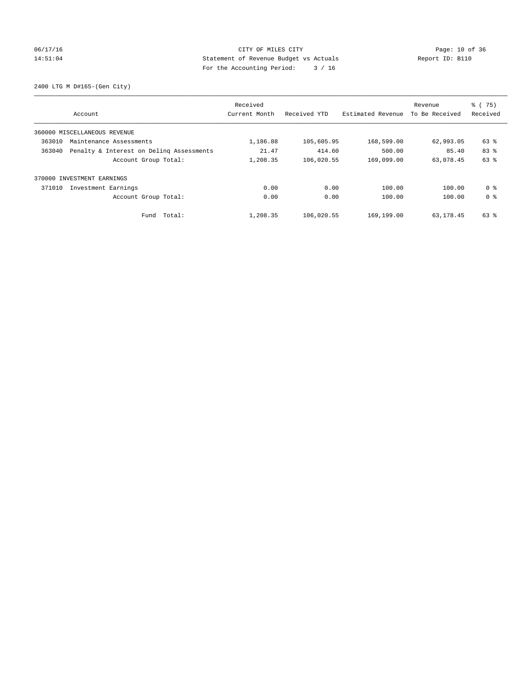# 06/17/16 Page: 10 of 36 14:51:04 Statement of Revenue Budget vs Actuals Report ID: B110 For the Accounting Period: 3 / 16

2400 LTG M D#165-(Gen City)

| Account                                            | Received<br>Current Month | Received YTD | Estimated Revenue | Revenue<br>To Be Received | $\frac{6}{6}$ (75)<br>Received |
|----------------------------------------------------|---------------------------|--------------|-------------------|---------------------------|--------------------------------|
|                                                    |                           |              |                   |                           |                                |
| 360000 MISCELLANEOUS REVENUE                       |                           |              |                   |                           |                                |
| 363010<br>Maintenance Assessments                  | 1,186.88                  | 105,605.95   | 168,599.00        | 62,993.05                 | 63 %                           |
| Penalty & Interest on Deling Assessments<br>363040 | 21.47                     | 414.60       | 500.00            | 85.40                     | 83 %                           |
| Account Group Total:                               | 1,208.35                  | 106,020.55   | 169,099.00        | 63,078.45                 | 63 %                           |
| 370000 INVESTMENT EARNINGS                         |                           |              |                   |                           |                                |
| 371010<br>Investment Earnings                      | 0.00                      | 0.00         | 100.00            | 100.00                    | 0 %                            |
| Account Group Total:                               | 0.00                      | 0.00         | 100.00            | 100.00                    | 0 <sup>8</sup>                 |
| Fund Total:                                        | 1,208.35                  | 106,020.55   | 169,199.00        | 63,178.45                 | 63 %                           |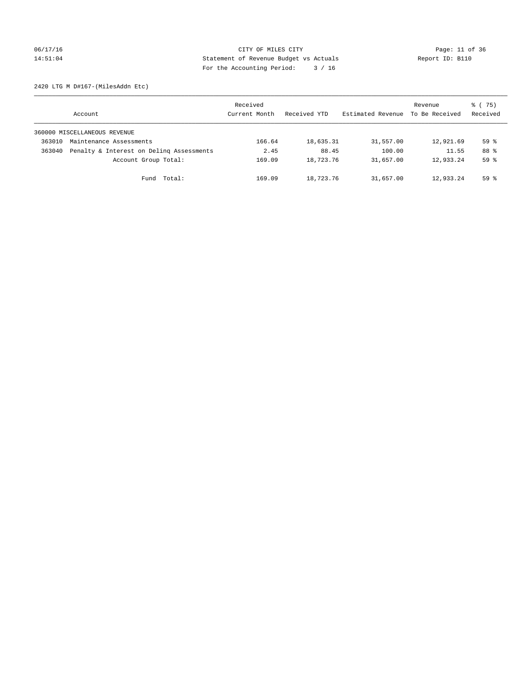## 06/17/16 Page: 11 of 36 14:51:04 Statement of Revenue Budget vs Actuals Report ID: B110 For the Accounting Period: 3 / 16

2420 LTG M D#167-(MilesAddn Etc)

|        | Account                                  | Received<br>Current Month | Received YTD | Estimated Revenue | Revenue<br>To Be Received | 8 (75)<br>Received |
|--------|------------------------------------------|---------------------------|--------------|-------------------|---------------------------|--------------------|
|        | 360000 MISCELLANEOUS REVENUE             |                           |              |                   |                           |                    |
| 363010 | Maintenance Assessments                  | 166.64                    | 18,635.31    | 31,557.00         | 12,921.69                 | 59 <sup>°</sup>    |
| 363040 | Penalty & Interest on Deling Assessments | 2.45                      | 88.45        | 100.00            | 11.55                     | 88 %               |
|        | Account Group Total:                     | 169.09                    | 18,723.76    | 31,657.00         | 12,933.24                 | 59 <sup>°</sup>    |
|        | Total:<br>Fund                           | 169.09                    | 18,723.76    | 31,657.00         | 12,933.24                 | $59*$              |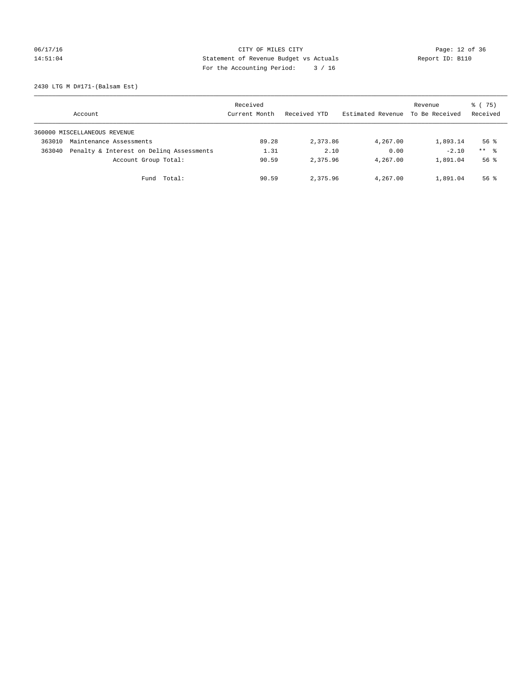# 06/17/16 Page: 12 of 36 14:51:04 Statement of Revenue Budget vs Actuals Report ID: B110 For the Accounting Period: 3 / 16

2430 LTG M D#171-(Balsam Est)

|        | Account                                  | Received<br>Current Month | Received YTD | Estimated Revenue | Revenue<br>To Be Received | 8 (75)<br>Received  |
|--------|------------------------------------------|---------------------------|--------------|-------------------|---------------------------|---------------------|
|        | 360000 MISCELLANEOUS REVENUE             |                           |              |                   |                           |                     |
| 363010 | Maintenance Assessments                  | 89.28                     | 2,373.86     | 4,267.00          | 1,893.14                  | $56$ $\frac{6}{3}$  |
| 363040 | Penalty & Interest on Deling Assessments | 1.31                      | 2.10         | 0.00              | $-2.10$                   | $***$ $\frac{6}{5}$ |
|        | Account Group Total:                     | 90.59                     | 2,375.96     | 4,267.00          | 1,891.04                  | $56$ $\frac{6}{3}$  |
|        | Fund Total:                              | 90.59                     | 2,375.96     | 4,267.00          | 1,891.04                  | $56$ $\frac{6}{3}$  |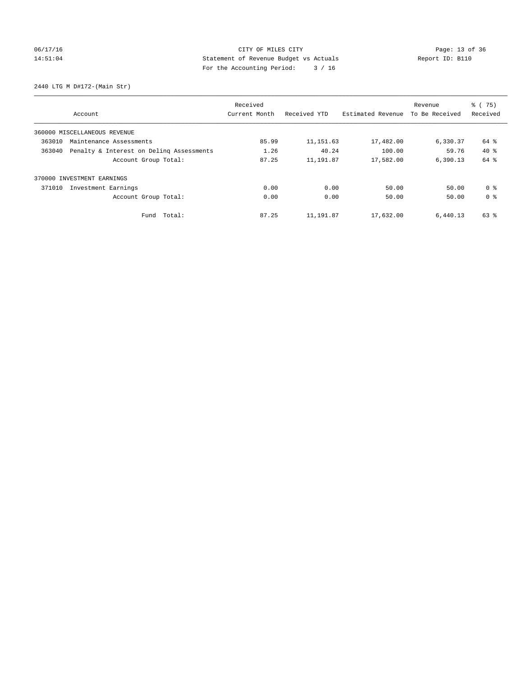# 06/17/16 Page: 13 of 36 14:51:04 Statement of Revenue Budget vs Actuals Report ID: B110 For the Accounting Period: 3 / 16

2440 LTG M D#172-(Main Str)

|                                   |                                          | Received      |              |                   | Revenue        | $\frac{6}{6}$ (75) |
|-----------------------------------|------------------------------------------|---------------|--------------|-------------------|----------------|--------------------|
|                                   | Account                                  | Current Month | Received YTD | Estimated Revenue | To Be Received | Received           |
|                                   | 360000 MISCELLANEOUS REVENUE             |               |              |                   |                |                    |
| 363010<br>Maintenance Assessments |                                          | 85.99         | 11, 151.63   | 17,482.00         | 6,330.37       | 64 %               |
| 363040                            | Penalty & Interest on Deling Assessments | 1.26          | 40.24        | 100.00            | 59.76          | $40*$              |
|                                   | Account Group Total:                     | 87.25         | 11,191.87    | 17,582.00         | 6,390.13       | 64 %               |
|                                   | 370000 INVESTMENT EARNINGS               |               |              |                   |                |                    |
| 371010                            | Investment Earnings                      | 0.00          | 0.00         | 50.00             | 50.00          | 0 <sup>8</sup>     |
|                                   | Account Group Total:                     | 0.00          | 0.00         | 50.00             | 50.00          | 0 <sup>8</sup>     |
|                                   | Fund Total:                              | 87.25         | 11,191.87    | 17,632.00         | 6,440.13       | 63 %               |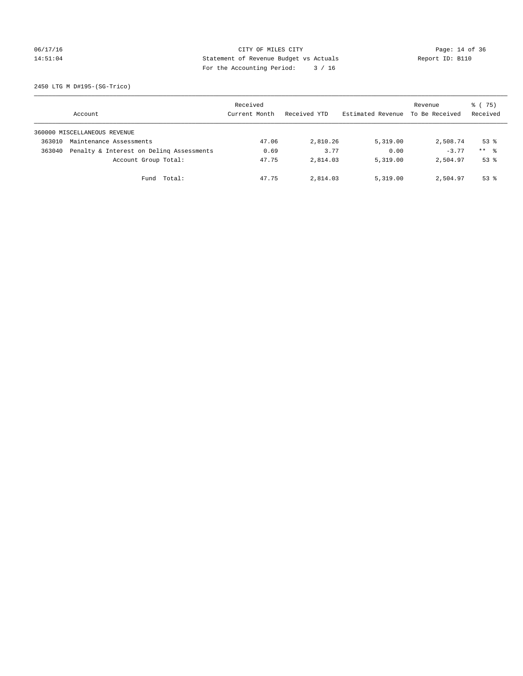# 06/17/16 Page: 14 of 36 14:51:04 Statement of Revenue Budget vs Actuals Report ID: B110 For the Accounting Period: 3 / 16

2450 LTG M D#195-(SG-Trico)

|        | Account                                  | Received<br>Current Month | Received YTD | Estimated Revenue | Revenue<br>To Be Received | 8 (75)<br>Received  |
|--------|------------------------------------------|---------------------------|--------------|-------------------|---------------------------|---------------------|
|        | 360000 MISCELLANEOUS REVENUE             |                           |              |                   |                           |                     |
| 363010 | Maintenance Assessments                  | 47.06                     | 2,810.26     | 5,319.00          | 2,508.74                  | $53$ $%$            |
| 363040 | Penalty & Interest on Deling Assessments | 0.69                      | 3.77         | 0.00              | $-3.77$                   | $***$ $\frac{6}{5}$ |
|        | Account Group Total:                     | 47.75                     | 2,814.03     | 5,319.00          | 2,504.97                  | $53$ $%$            |
|        | Fund Total:                              | 47.75                     | 2,814.03     | 5,319.00          | 2,504.97                  | $53$ $%$            |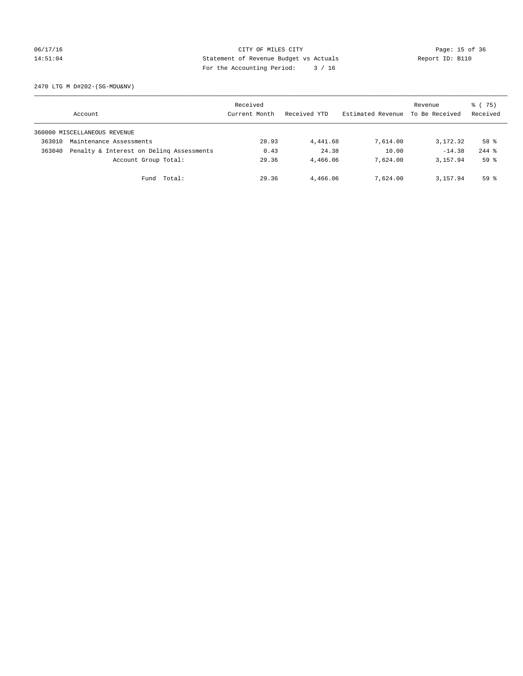# 06/17/16 Page: 15 of 36 14:51:04 Statement of Revenue Budget vs Actuals Report ID: B110 For the Accounting Period: 3 / 16

2470 LTG M D#202-(SG-MDU&NV)

|        | Account                                  | Received<br>Current Month | Received YTD | Estimated Revenue | Revenue<br>To Be Received | 8 (75)<br>Received |
|--------|------------------------------------------|---------------------------|--------------|-------------------|---------------------------|--------------------|
|        | 360000 MISCELLANEOUS REVENUE             |                           |              |                   |                           |                    |
| 363010 | Maintenance Assessments                  | 28.93                     | 4,441.68     | 7,614.00          | 3,172.32                  | 58 %               |
| 363040 | Penalty & Interest on Deling Assessments | 0.43                      | 24.38        | 10.00             | $-14.38$                  | $244$ $%$          |
|        | Account Group Total:                     | 29.36                     | 4,466.06     | 7,624,00          | 3,157.94                  | 59 <sup>°</sup>    |
|        | Fund Total:                              | 29.36                     | 4,466.06     | 7,624.00          | 3,157.94                  | 59 <sup>8</sup>    |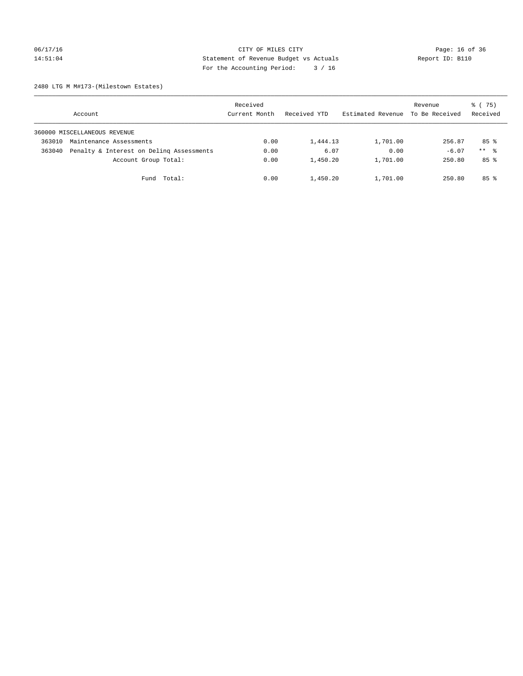# 06/17/16 Page: 16 of 36 14:51:04 Statement of Revenue Budget vs Actuals Report ID: B110 For the Accounting Period: 3 / 16

2480 LTG M M#173-(Milestown Estates)

|        | Account                                  | Received<br>Current Month | Received YTD | Estimated Revenue | Revenue<br>To Be Received | 8 (75)<br>Received |
|--------|------------------------------------------|---------------------------|--------------|-------------------|---------------------------|--------------------|
|        | 360000 MISCELLANEOUS REVENUE             |                           |              |                   |                           |                    |
| 363010 | Maintenance Assessments                  | 0.00                      | 1,444.13     | 1,701.00          | 256.87                    | 85%                |
| 363040 | Penalty & Interest on Deling Assessments | 0.00                      | 6.07         | 0.00              | $-6.07$                   | $***$ %            |
|        | Account Group Total:                     | 0.00                      | 1,450.20     | 1,701.00          | 250.80                    | 85%                |
|        | Fund Total:                              | 0.00                      | 1,450.20     | 1,701.00          | 250.80                    | 85%                |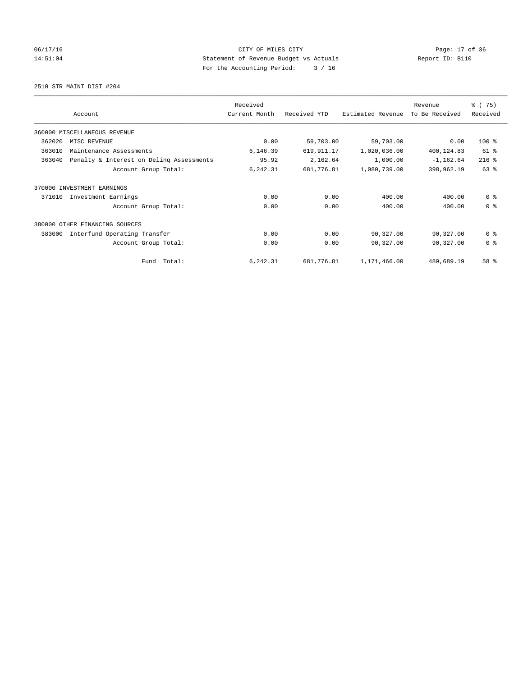# 06/17/16 Page: 17 of 36 14:51:04 Statement of Revenue Budget vs Actuals Report ID: B110 For the Accounting Period: 3 / 16

2510 STR MAINT DIST #204

|        |                                          | Received      |              |                   | Revenue        | % (75)         |
|--------|------------------------------------------|---------------|--------------|-------------------|----------------|----------------|
|        | Account                                  | Current Month | Received YTD | Estimated Revenue | To Be Received | Received       |
|        | 360000 MISCELLANEOUS REVENUE             |               |              |                   |                |                |
| 362020 | MISC REVENUE                             | 0.00          | 59,703.00    | 59,703.00         | 0.00           | 100 %          |
| 363010 | Maintenance Assessments                  | 6,146.39      | 619,911.17   | 1,020,036.00      | 400,124.83     | 61 %           |
| 363040 | Penalty & Interest on Deling Assessments | 95.92         | 2,162.64     | 1,000.00          | $-1, 162.64$   | $216$ %        |
|        | Account Group Total:                     | 6,242.31      | 681,776.81   | 1,080,739.00      | 398,962.19     | 63 %           |
| 370000 | INVESTMENT EARNINGS                      |               |              |                   |                |                |
| 371010 | Investment Earnings                      | 0.00          | 0.00         | 400.00            | 400.00         | 0 <sup>8</sup> |
|        | Account Group Total:                     | 0.00          | 0.00         | 400.00            | 400.00         | 0 <sup>8</sup> |
| 380000 | OTHER FINANCING SOURCES                  |               |              |                   |                |                |
| 383000 | Interfund Operating Transfer             | 0.00          | 0.00         | 90,327.00         | 90,327.00      | 0 <sup>8</sup> |
|        | Account Group Total:                     | 0.00          | 0.00         | 90,327.00         | 90,327.00      | 0 <sup>8</sup> |
|        | Total:<br>Fund                           | 6,242.31      | 681,776.81   | 1,171,466.00      | 489,689.19     | 58 %           |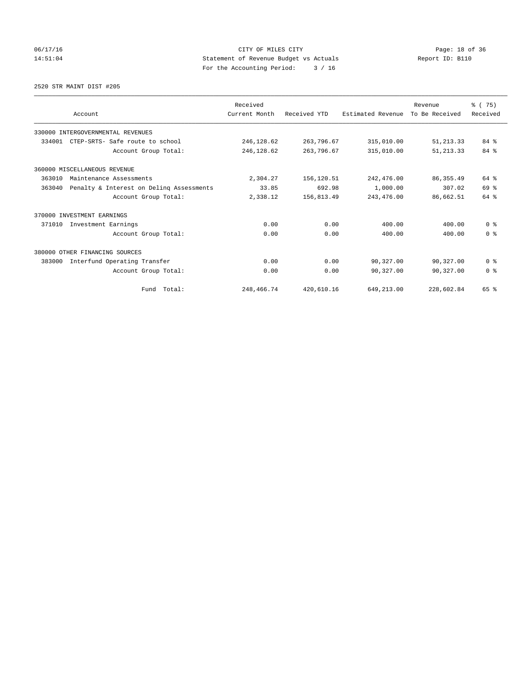# 06/17/16 Page: 18 of 36 14:51:04 Statement of Revenue Budget vs Actuals Report ID: B110 For the Accounting Period: 3 / 16

### 2520 STR MAINT DIST #205

|        |                                          | Received      |              |                   | Revenue        | % (75)         |
|--------|------------------------------------------|---------------|--------------|-------------------|----------------|----------------|
|        | Account                                  | Current Month | Received YTD | Estimated Revenue | To Be Received | Received       |
|        | 330000 INTERGOVERNMENTAL REVENUES        |               |              |                   |                |                |
| 334001 | CTEP-SRTS- Safe route to school          | 246,128.62    | 263,796.67   | 315,010.00        | 51, 213.33     | 84%            |
|        | Account Group Total:                     | 246,128.62    | 263,796.67   | 315,010.00        | 51, 213.33     | 84 %           |
|        | 360000 MISCELLANEOUS REVENUE             |               |              |                   |                |                |
| 363010 | Maintenance Assessments                  | 2,304.27      | 156,120.51   | 242,476.00        | 86, 355.49     | 64 %           |
| 363040 | Penalty & Interest on Deling Assessments | 33.85         | 692.98       | 1,000.00          | 307.02         | 69 %           |
|        | Account Group Total:                     | 2,338.12      | 156,813.49   | 243,476.00        | 86,662.51      | 64 %           |
|        | 370000 INVESTMENT EARNINGS               |               |              |                   |                |                |
| 371010 | Investment Earnings                      | 0.00          | 0.00         | 400.00            | 400.00         | 0 <sup>8</sup> |
|        | Account Group Total:                     | 0.00          | 0.00         | 400.00            | 400.00         | 0 <sup>8</sup> |
|        | 380000 OTHER FINANCING SOURCES           |               |              |                   |                |                |
| 383000 | Interfund Operating Transfer             | 0.00          | 0.00         | 90,327.00         | 90,327.00      | 0 <sup>8</sup> |
|        | Account Group Total:                     | 0.00          | 0.00         | 90,327.00         | 90,327.00      | 0 <sup>8</sup> |
|        | Fund Total:                              | 248,466.74    | 420,610.16   | 649,213.00        | 228,602.84     | 65 %           |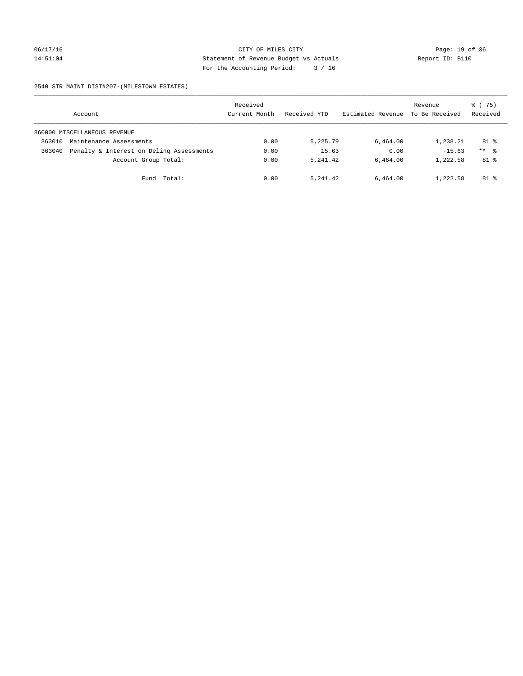# 06/17/16 Page: 19 of 36 14:51:04 Statement of Revenue Budget vs Actuals Report ID: B110 For the Accounting Period: 3 / 16

2540 STR MAINT DIST#207-(MILESTOWN ESTATES)

|        | Account                                  | Received<br>Current Month | Received YTD | Estimated Revenue | Revenue<br>To Be Received | 8 (75)<br>Received |
|--------|------------------------------------------|---------------------------|--------------|-------------------|---------------------------|--------------------|
|        | 360000 MISCELLANEOUS REVENUE             |                           |              |                   |                           |                    |
| 363010 | Maintenance Assessments                  | 0.00                      | 5,225.79     | 6,464.00          | 1,238.21                  | $81$ %             |
| 363040 | Penalty & Interest on Deling Assessments | 0.00                      | 15.63        | 0.00              | $-15.63$                  | $***$ %            |
|        | Account Group Total:                     | 0.00                      | 5, 241, 42   | 6.464.00          | 1,222.58                  | $81$ %             |
|        | Fund Total:                              | 0.00                      | 5, 241, 42   | 6,464.00          | 1,222.58                  | $81$ %             |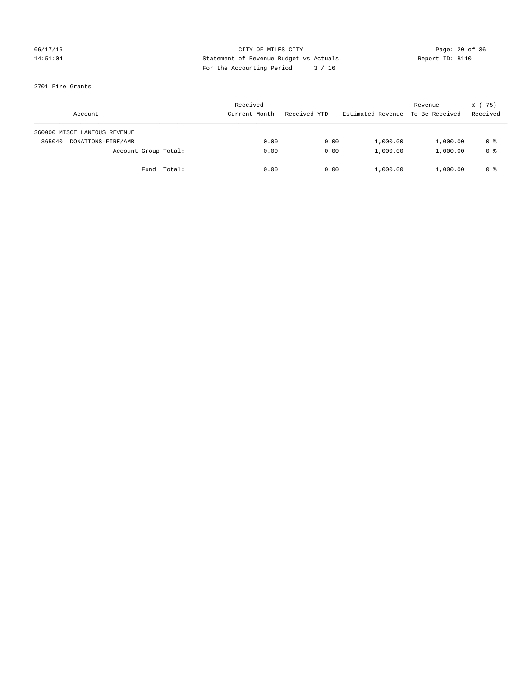## 06/17/16 Page: 20 of 36 14:51:04 Statement of Revenue Budget vs Actuals Report ID: B110 For the Accounting Period: 3 / 16

## 2701 Fire Grants

|        | Account                      |                      | Received<br>Current Month | Received YTD | Estimated Revenue | Revenue<br>To Be Received | 8 (75)<br>Received |
|--------|------------------------------|----------------------|---------------------------|--------------|-------------------|---------------------------|--------------------|
|        | 360000 MISCELLANEOUS REVENUE |                      |                           |              |                   |                           |                    |
| 365040 | DONATIONS-FIRE/AMB           |                      | 0.00                      | 0.00         | 1,000.00          | 1,000.00                  | 0 %                |
|        |                              | Account Group Total: | 0.00                      | 0.00         | 1,000.00          | 1,000.00                  | 0 %                |
|        |                              | Fund Total:          | 0.00                      | 0.00         | 1,000.00          | 1,000.00                  | 0 %                |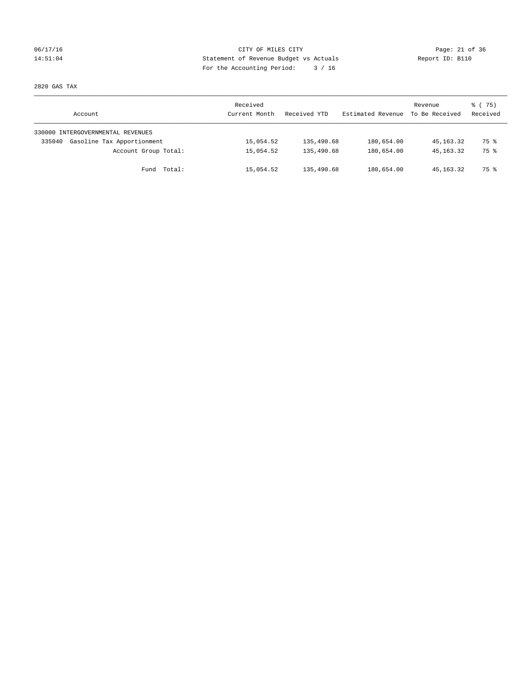## 06/17/16 Page: 21 of 36 14:51:04 Statement of Revenue Budget vs Actuals Report ID: B110 For the Accounting Period: 3 / 16

2820 GAS TAX

| Account                              | Received<br>Current Month | Received YTD | Estimated Revenue | Revenue<br>To Be Received | 8 (75)<br>Received |
|--------------------------------------|---------------------------|--------------|-------------------|---------------------------|--------------------|
| 330000 INTERGOVERNMENTAL REVENUES    |                           |              |                   |                           |                    |
| Gasoline Tax Apportionment<br>335040 | 15,054.52                 | 135,490.68   | 180,654.00        | 45,163.32                 | 75 %               |
| Account Group Total:                 | 15,054.52                 | 135,490.68   | 180,654.00        | 45, 163, 32               | 75 %               |
| Fund Total:                          | 15,054.52                 | 135,490.68   | 180,654.00        | 45,163.32                 | 75 %               |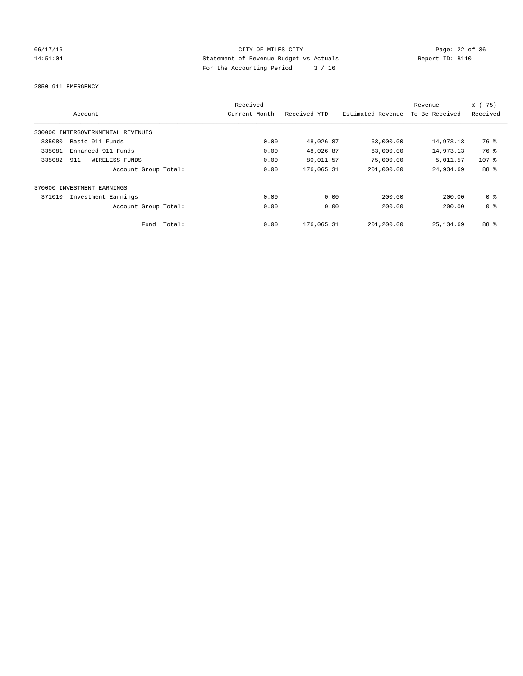# 06/17/16 Page: 22 of 36 14:51:04 Statement of Revenue Budget vs Actuals Report ID: B110 For the Accounting Period: 3 / 16

2850 911 EMERGENCY

|        | Account                           |        | Received<br>Current Month | Received YTD | Estimated Revenue | Revenue<br>To Be Received | % (75)<br>Received |
|--------|-----------------------------------|--------|---------------------------|--------------|-------------------|---------------------------|--------------------|
|        | 330000 INTERGOVERNMENTAL REVENUES |        |                           |              |                   |                           |                    |
| 335080 | Basic 911 Funds                   |        | 0.00                      | 48,026.87    | 63,000.00         | 14,973.13                 | 76 %               |
| 335081 | Enhanced 911 Funds                |        | 0.00                      | 48,026.87    | 63,000.00         | 14,973.13                 | 76 %               |
| 335082 | 911 - WIRELESS FUNDS              |        | 0.00                      | 80,011.57    | 75,000.00         | $-5,011.57$               | $107$ %            |
|        | Account Group Total:              |        | 0.00                      | 176,065.31   | 201,000.00        | 24,934.69                 | 88 %               |
|        | 370000 INVESTMENT EARNINGS        |        |                           |              |                   |                           |                    |
| 371010 | Investment Earnings               |        | 0.00                      | 0.00         | 200.00            | 200.00                    | 0 <sup>8</sup>     |
|        | Account Group Total:              |        | 0.00                      | 0.00         | 200.00            | 200.00                    | 0 <sup>8</sup>     |
|        | Fund                              | Total: | 0.00                      | 176,065.31   | 201,200.00        | 25, 134, 69               | 88 %               |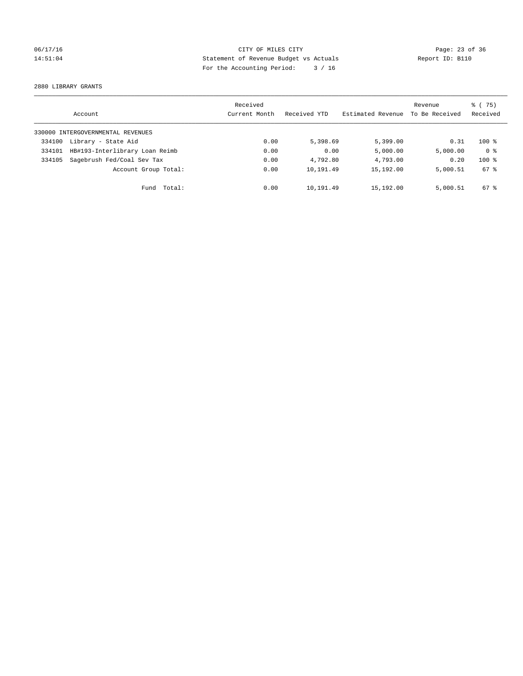# 06/17/16 Page: 23 of 36 14:51:04 Statement of Revenue Budget vs Actuals Report ID: B110 For the Accounting Period: 3 / 16

2880 LIBRARY GRANTS

|        | Account                           | Received<br>Current Month | Received YTD | Estimated Revenue | Revenue<br>To Be Received | % (75)<br>Received |
|--------|-----------------------------------|---------------------------|--------------|-------------------|---------------------------|--------------------|
|        | 330000 INTERGOVERNMENTAL REVENUES |                           |              |                   |                           |                    |
| 334100 | Library - State Aid               | 0.00                      | 5,398.69     | 5,399.00          | 0.31                      | $100*$             |
| 334101 | HB#193-Interlibrary Loan Reimb    | 0.00                      | 0.00         | 5,000.00          | 5,000.00                  | 0 <sup>8</sup>     |
| 334105 | Sagebrush Fed/Coal Sev Tax        | 0.00                      | 4,792.80     | 4,793.00          | 0.20                      | $100*$             |
|        | Account Group Total:              | 0.00                      | 10,191.49    | 15,192.00         | 5,000.51                  | 67 %               |
|        | Total:<br>Fund                    | 0.00                      | 10,191.49    | 15,192.00         | 5,000.51                  | 67 %               |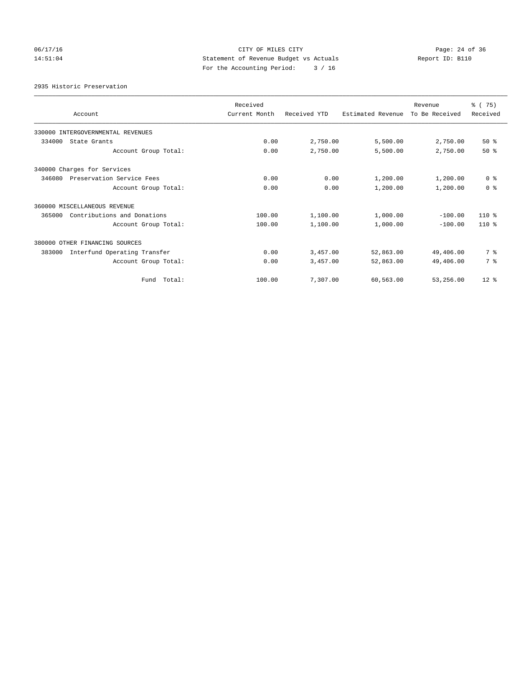# 06/17/16 Page: 24 of 36 14:51:04 Statement of Revenue Budget vs Actuals Report ID: B110 For the Accounting Period: 3 / 16

2935 Historic Preservation

| Account                                | Received<br>Current Month | Received YTD | Estimated Revenue | Revenue<br>To Be Received | % (75)<br>Received |
|----------------------------------------|---------------------------|--------------|-------------------|---------------------------|--------------------|
| 330000 INTERGOVERNMENTAL REVENUES      |                           |              |                   |                           |                    |
| 334000<br>State Grants                 | 0.00                      | 2,750.00     | 5,500.00          | 2,750.00                  | $50*$              |
| Account Group Total:                   | 0.00                      | 2,750.00     | 5,500.00          | 2,750.00                  | $50*$              |
| 340000 Charges for Services            |                           |              |                   |                           |                    |
| 346080<br>Preservation Service Fees    | 0.00                      | 0.00         | 1,200.00          | 1,200.00                  | 0 <sup>8</sup>     |
| Account Group Total:                   | 0.00                      | 0.00         | 1,200.00          | 1,200.00                  | 0 <sup>8</sup>     |
| 360000 MISCELLANEOUS REVENUE           |                           |              |                   |                           |                    |
| 365000<br>Contributions and Donations  | 100.00                    | 1,100.00     | 1,000.00          | $-100.00$                 | $110*$             |
| Account Group Total:                   | 100.00                    | 1,100.00     | 1,000.00          | $-100.00$                 | $110*$             |
| 380000 OTHER FINANCING SOURCES         |                           |              |                   |                           |                    |
| 383000<br>Interfund Operating Transfer | 0.00                      | 3,457.00     | 52,863.00         | 49,406.00                 | 7 %                |
| Account Group Total:                   | 0.00                      | 3,457.00     | 52,863.00         | 49,406.00                 | 7 %                |
| Fund Total:                            | 100.00                    | 7,307.00     | 60,563.00         | 53,256.00                 | $12*$              |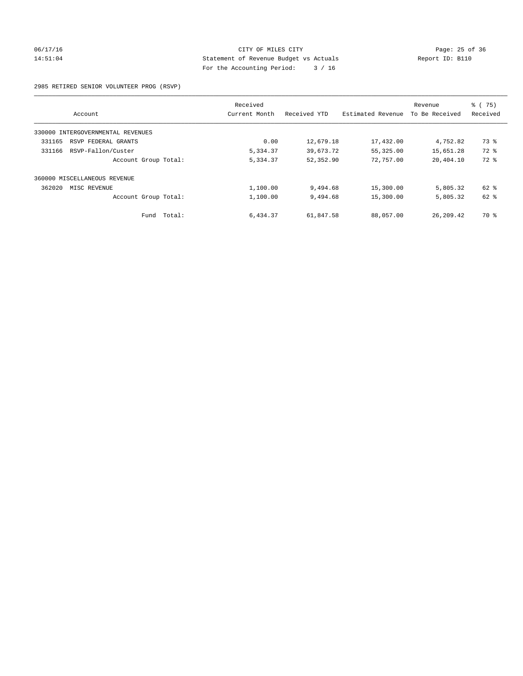## 06/17/16 Page: 25 of 36 14:51:04 Statement of Revenue Budget vs Actuals Report ID: B110 For the Accounting Period: 3 / 16

### 2985 RETIRED SENIOR VOLUNTEER PROG (RSVP)

|                                   | Received      |              |                   | Revenue        | $\frac{6}{6}$ (75) |
|-----------------------------------|---------------|--------------|-------------------|----------------|--------------------|
| Account                           | Current Month | Received YTD | Estimated Revenue | To Be Received | Received           |
| 330000 INTERGOVERNMENTAL REVENUES |               |              |                   |                |                    |
| 331165<br>RSVP FEDERAL GRANTS     | 0.00          | 12,679.18    | 17,432.00         | 4,752.82       | 73 %               |
| RSVP-Fallon/Custer<br>331166      | 5,334.37      | 39,673.72    | 55,325.00         | 15,651.28      | 72 %               |
| Account Group Total:              | 5,334.37      | 52,352.90    | 72,757.00         | 20,404.10      | 72 %               |
| 360000 MISCELLANEOUS REVENUE      |               |              |                   |                |                    |
| 362020<br>MISC REVENUE            | 1,100.00      | 9,494.68     | 15,300.00         | 5,805.32       | 62 %               |
| Account Group Total:              | 1,100.00      | 9,494.68     | 15,300.00         | 5,805.32       | 62 %               |
| Total:<br>Fund                    | 6,434.37      | 61,847.58    | 88,057.00         | 26, 209. 42    | 70 %               |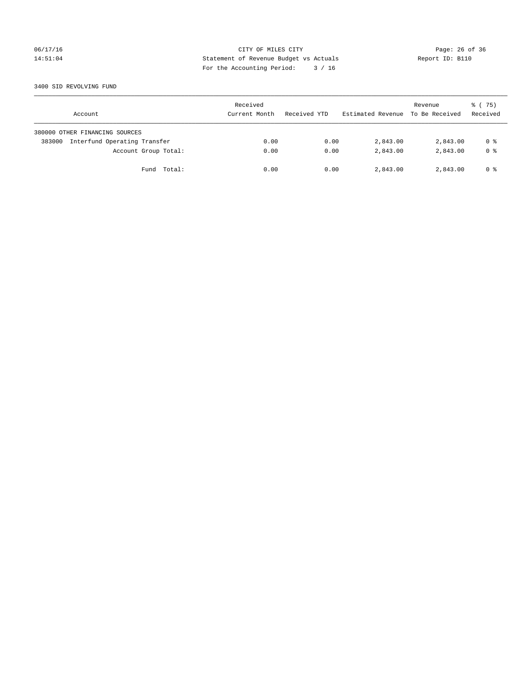# 06/17/16 Page: 26 of 36 14:51:04 Statement of Revenue Budget vs Actuals Report ID: B110 For the Accounting Period: 3 / 16

### 3400 SID REVOLVING FUND

| Account                                | Received<br>Current Month | Received YTD | Estimated Revenue | Revenue<br>To Be Received | 8 (75)<br>Received |
|----------------------------------------|---------------------------|--------------|-------------------|---------------------------|--------------------|
| 380000 OTHER FINANCING SOURCES         |                           |              |                   |                           |                    |
| Interfund Operating Transfer<br>383000 | 0.00                      | 0.00         | 2,843.00          | 2,843.00                  | 0 %                |
| Account Group Total:                   | 0.00                      | 0.00         | 2,843.00          | 2,843.00                  | 0 <sup>8</sup>     |
| Fund Total:                            | 0.00                      | 0.00         | 2,843.00          | 2,843.00                  | 0 %                |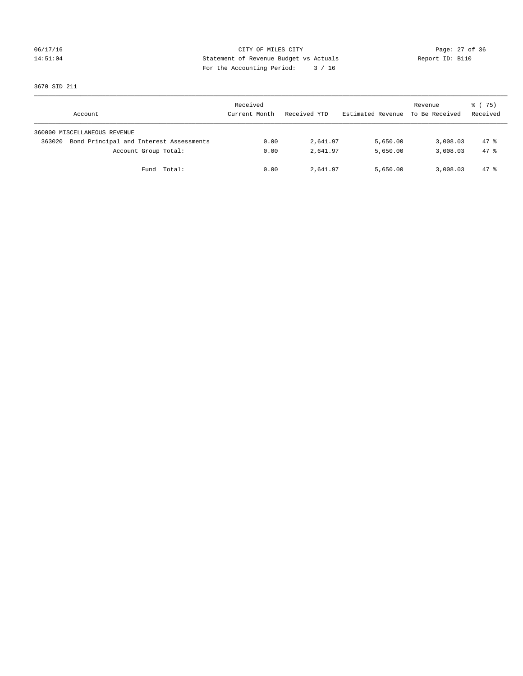# 06/17/16 Page: 27 of 36 14:51:04 Statement of Revenue Budget vs Actuals Report ID: B110 For the Accounting Period: 3 / 16

3670 SID 211

| Account                                           | Received<br>Current Month | Received YTD | Estimated Revenue | Revenue<br>To Be Received | 8 (75)<br>Received |
|---------------------------------------------------|---------------------------|--------------|-------------------|---------------------------|--------------------|
| 360000 MISCELLANEOUS REVENUE                      |                           |              |                   |                           |                    |
| Bond Principal and Interest Assessments<br>363020 | 0.00                      | 2,641.97     | 5,650.00          | 3,008.03                  | $47*$              |
| Account Group Total:                              | 0.00                      | 2,641.97     | 5,650.00          | 3,008.03                  | $47*$              |
| Fund Total:                                       | 0.00                      | 2,641.97     | 5,650.00          | 3,008.03                  | 47 %               |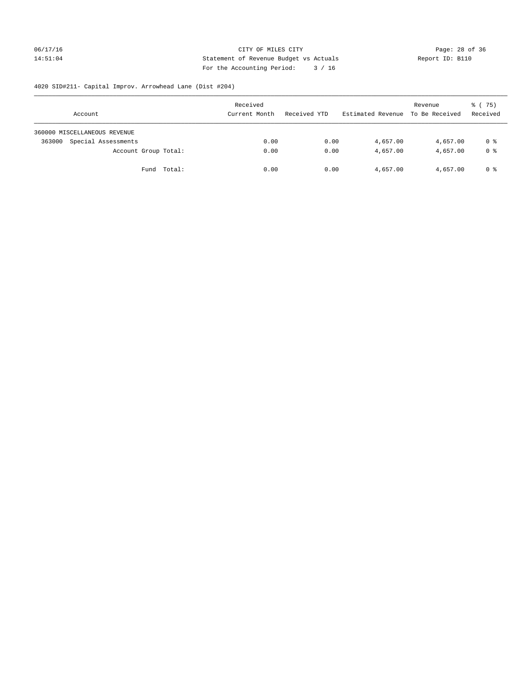# 06/17/16 Page: 28 of 36 14:51:04 Statement of Revenue Budget vs Actuals Report ID: B110 For the Accounting Period: 3 / 16

# 4020 SID#211- Capital Improv. Arrowhead Lane (Dist #204)

| Account                       | Received<br>Current Month | Received YTD | Estimated Revenue | Revenue<br>To Be Received | 8 (75)<br>Received |
|-------------------------------|---------------------------|--------------|-------------------|---------------------------|--------------------|
| 360000 MISCELLANEOUS REVENUE  |                           |              |                   |                           |                    |
| Special Assessments<br>363000 | 0.00                      | 0.00         | 4,657.00          | 4,657.00                  | 0 %                |
| Account Group Total:          | 0.00                      | 0.00         | 4,657.00          | 4,657.00                  | 0 %                |
| Fund Total:                   | 0.00                      | 0.00         | 4,657.00          | 4,657.00                  | 0 %                |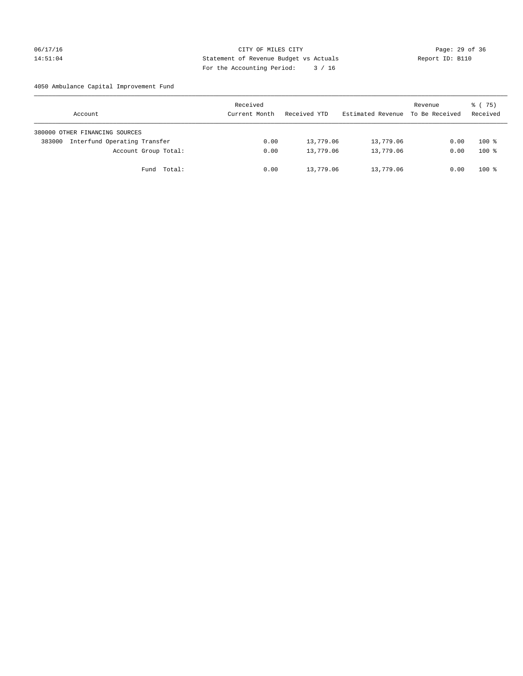## 06/17/16 Page: 29 of 36 14:51:04 Statement of Revenue Budget vs Actuals Report ID: B110 For the Accounting Period: 3 / 16

## 4050 Ambulance Capital Improvement Fund

| Account                                | Received<br>Current Month | Received YTD | Estimated Revenue | Revenue<br>To Be Received | 8 (75)<br>Received |
|----------------------------------------|---------------------------|--------------|-------------------|---------------------------|--------------------|
| 380000 OTHER FINANCING SOURCES         |                           |              |                   |                           |                    |
| Interfund Operating Transfer<br>383000 | 0.00                      | 13,779.06    | 13,779.06         | 0.00                      | $100*$             |
| Account Group Total:                   | 0.00                      | 13,779.06    | 13,779.06         | 0.00                      | $100*$             |
| Fund Total:                            | 0.00                      | 13,779.06    | 13,779.06         | 0.00                      | $100*$             |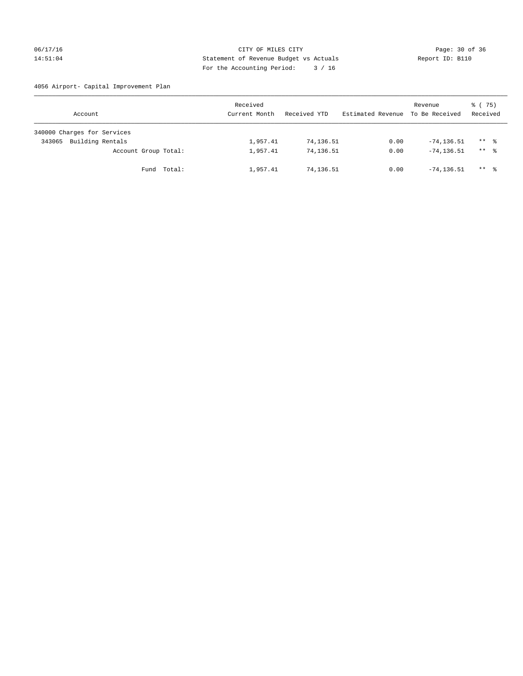## 06/17/16 Page: 30 of 36 14:51:04 Statement of Revenue Budget vs Actuals Report ID: B110 For the Accounting Period: 3 / 16

4056 Airport- Capital Improvement Plan

| Account                     | Received<br>Current Month | Received YTD | Estimated Revenue | Revenue<br>To Be Received | 8 (75)<br>Received |
|-----------------------------|---------------------------|--------------|-------------------|---------------------------|--------------------|
| 340000 Charges for Services |                           |              |                   |                           |                    |
| Building Rentals<br>343065  | 1,957.41                  | 74,136.51    | 0.00              | $-74, 136.51$             | $***$ %            |
| Account Group Total:        | 1,957.41                  | 74,136.51    | 0.00              | $-74.136.51$              | $***$ %            |
| Fund Total:                 | 1,957.41                  | 74,136.51    | 0.00              | $-74.136.51$              | ** *               |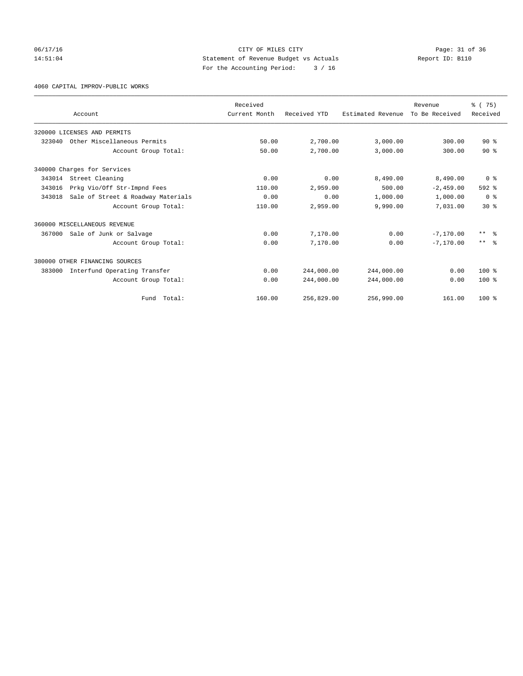06/17/16 Page: 31 of 36 14:51:04 Statement of Revenue Budget vs Actuals Report ID: B110 For the Accounting Period: 3 / 16

4060 CAPITAL IMPROV-PUBLIC WORKS

|        |                                    | Received      |              |                   | Revenue        | % (75)                  |
|--------|------------------------------------|---------------|--------------|-------------------|----------------|-------------------------|
|        | Account                            | Current Month | Received YTD | Estimated Revenue | To Be Received | Received                |
|        | 320000 LICENSES AND PERMITS        |               |              |                   |                |                         |
| 323040 | Other Miscellaneous Permits        | 50.00         | 2,700.00     | 3,000.00          | 300.00         | $90*$                   |
|        | Account Group Total:               | 50.00         | 2,700.00     | 3,000.00          | 300.00         | $90*$                   |
|        | 340000 Charges for Services        |               |              |                   |                |                         |
| 343014 | Street Cleaning                    | 0.00          | 0.00         | 8,490.00          | 8,490.00       | 0 <sup>8</sup>          |
| 343016 | Prkg Vio/Off Str-Impnd Fees        | 110.00        | 2,959.00     | 500.00            | $-2,459.00$    | $592$ $%$               |
| 343018 | Sale of Street & Roadway Materials | 0.00          | 0.00         | 1,000.00          | 1,000.00       | 0 <sup>8</sup>          |
|        | Account Group Total:               | 110.00        | 2,959.00     | 9,990.00          | 7,031.00       | $30*$                   |
|        | 360000 MISCELLANEOUS REVENUE       |               |              |                   |                |                         |
| 367000 | Sale of Junk or Salvage            | 0.00          | 7,170.00     | 0.00              | $-7.170.00$    | $***$ $=$ $\frac{6}{5}$ |
|        | Account Group Total:               | 0.00          | 7,170.00     | 0.00              | $-7, 170, 00$  | $***$ $\approx$         |
|        | 380000 OTHER FINANCING SOURCES     |               |              |                   |                |                         |
| 383000 | Interfund Operating Transfer       | 0.00          | 244,000.00   | 244,000.00        | 0.00           | $100*$                  |
|        | Account Group Total:               | 0.00          | 244,000.00   | 244,000.00        | 0.00           | $100*$                  |
|        | Total:<br>Fund                     | 160.00        | 256,829.00   | 256,990.00        | 161.00         | $100*$                  |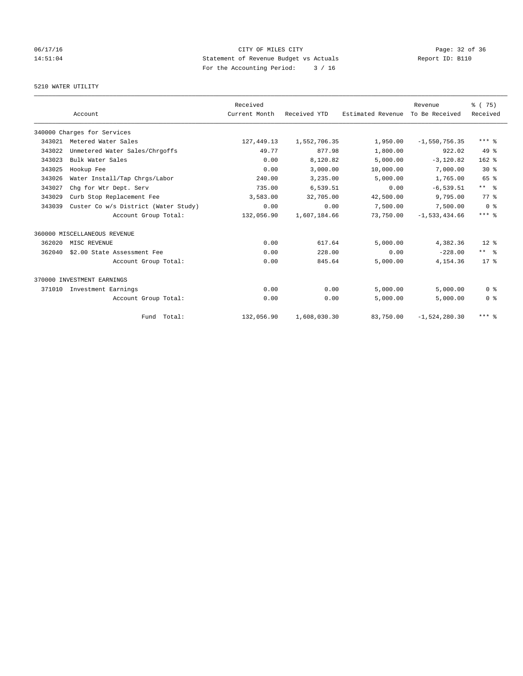# 06/17/16 Page: 32 of 36 14:51:04 Statement of Revenue Budget vs Actuals Report ID: B110 For the Accounting Period: 3 / 16

## 5210 WATER UTILITY

|        |                                      | Received      |              |                   | Revenue           | % (75)          |
|--------|--------------------------------------|---------------|--------------|-------------------|-------------------|-----------------|
|        | Account                              | Current Month | Received YTD | Estimated Revenue | To Be Received    | Received        |
|        | 340000 Charges for Services          |               |              |                   |                   |                 |
| 343021 | Metered Water Sales                  | 127,449.13    | 1,552,706.35 | 1,950.00          | $-1,550,756.35$   | $***$ $%$       |
| 343022 | Unmetered Water Sales/Chrgoffs       | 49.77         | 877.98       | 1,800.00          | 922.02            | $49*$           |
| 343023 | Bulk Water Sales                     | 0.00          | 8,120.82     | 5,000.00          | $-3,120.82$       | $162$ %         |
| 343025 | Hookup Fee                           | 0.00          | 3,000.00     | 10,000.00         | 7,000.00          | $30*$           |
| 343026 | Water Install/Tap Chrgs/Labor        | 240.00        | 3,235.00     | 5,000.00          | 1,765.00          | 65 %            |
| 343027 | Chq for Wtr Dept. Serv               | 735.00        | 6,539.51     | 0.00              | $-6, 539.51$      | $***$ $\approx$ |
| 343029 | Curb Stop Replacement Fee            | 3,583.00      | 32,705.00    | 42,500.00         | 9,795.00          | 77 %            |
| 343039 | Custer Co w/s District (Water Study) | 0.00          | 0.00         | 7,500.00          | 7,500.00          | 0 <sup>8</sup>  |
|        | Account Group Total:                 | 132,056.90    | 1,607,184.66 | 73,750.00         | $-1, 533, 434.66$ | $***$ $%$       |
|        | 360000 MISCELLANEOUS REVENUE         |               |              |                   |                   |                 |
| 362020 | MISC REVENUE                         | 0.00          | 617.64       | 5,000.00          | 4,382.36          | $12*$           |
| 362040 | \$2.00 State Assessment Fee          | 0.00          | 228.00       | 0.00              | $-228.00$         | $***$ $ -$      |
|        | Account Group Total:                 | 0.00          | 845.64       | 5,000.00          | 4,154.36          | $17*$           |
|        | 370000 INVESTMENT EARNINGS           |               |              |                   |                   |                 |
| 371010 | Investment Earnings                  | 0.00          | 0.00         | 5,000.00          | 5.000.00          | 0 <sup>8</sup>  |
|        | Account Group Total:                 | 0.00          | 0.00         | 5,000.00          | 5,000.00          | 0 <sup>8</sup>  |
|        | Fund Total:                          | 132,056.90    | 1,608,030.30 | 83,750.00         | $-1,524,280.30$   | $***$ $%$       |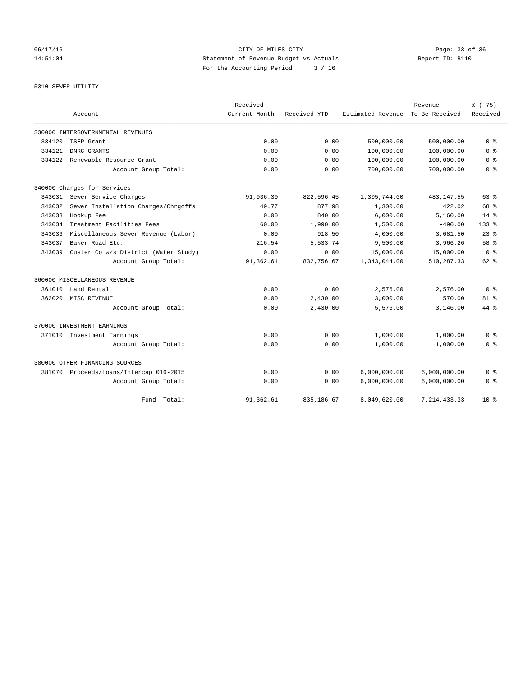06/17/16 Page: 33 of 36 14:51:04 Statement of Revenue Budget vs Actuals Report ID: B110 For the Accounting Period: 3 / 16

## 5310 SEWER UTILITY

|        |                                         | Received      |              |                   | Revenue        | % (75)         |
|--------|-----------------------------------------|---------------|--------------|-------------------|----------------|----------------|
|        | Account                                 | Current Month | Received YTD | Estimated Revenue | To Be Received | Received       |
|        | 330000 INTERGOVERNMENTAL REVENUES       |               |              |                   |                |                |
| 334120 | TSEP Grant                              | 0.00          | 0.00         | 500,000.00        | 500,000.00     | 0 <sup>8</sup> |
| 334121 | DNRC GRANTS                             | 0.00          | 0.00         | 100,000.00        | 100,000.00     | 0 <sup>8</sup> |
| 334122 | Renewable Resource Grant                | 0.00          | 0.00         | 100,000.00        | 100,000.00     | 0 <sup>8</sup> |
|        | Account Group Total:                    | 0.00          | 0.00         | 700,000.00        | 700,000.00     | 0 <sup>8</sup> |
|        | 340000 Charges for Services             |               |              |                   |                |                |
| 343031 | Sewer Service Charges                   | 91,036.30     | 822,596.45   | 1,305,744.00      | 483, 147.55    | 63%            |
| 343032 | Sewer Installation Charges/Chrgoffs     | 49.77         | 877.98       | 1,300.00          | 422.02         | 68 %           |
| 343033 | Hookup Fee                              | 0.00          | 840.00       | 6,000.00          | 5,160.00       | $14*$          |
| 343034 | Treatment Facilities Fees               | 60.00         | 1,990.00     | 1,500.00          | $-490.00$      | $133$ $%$      |
| 343036 | Miscellaneous Sewer Revenue (Labor)     | 0.00          | 918.50       | 4,000.00          | 3,081.50       | $23$ $%$       |
| 343037 | Baker Road Etc.                         | 216.54        | 5,533.74     | 9,500.00          | 3,966.26       | 58 %           |
| 343039 | Custer Co w/s District (Water Study)    | 0.00          | 0.00         | 15,000.00         | 15,000.00      | 0 <sup>8</sup> |
|        | Account Group Total:                    | 91,362.61     | 832,756.67   | 1,343,044.00      | 510,287.33     | $62$ $%$       |
|        | 360000 MISCELLANEOUS REVENUE            |               |              |                   |                |                |
| 361010 | Land Rental                             | 0.00          | 0.00         | 2,576.00          | 2,576.00       | 0 <sup>8</sup> |
| 362020 | MISC REVENUE                            | 0.00          | 2,430.00     | 3,000.00          | 570.00         | $81$ %         |
|        | Account Group Total:                    | 0.00          | 2,430.00     | 5,576.00          | 3,146.00       | 44 %           |
|        | 370000 INVESTMENT EARNINGS              |               |              |                   |                |                |
|        | 371010 Investment Earnings              | 0.00          | 0.00         | 1,000.00          | 1,000.00       | 0 <sup>8</sup> |
|        | Account Group Total:                    | 0.00          | 0.00         | 1,000.00          | 1,000.00       | 0 %            |
|        | 380000 OTHER FINANCING SOURCES          |               |              |                   |                |                |
|        | 381070 Proceeds/Loans/Intercap 016-2015 | 0.00          | 0.00         | 6,000,000.00      | 6,000,000.00   | 0 <sup>8</sup> |
|        | Account Group Total:                    | 0.00          | 0.00         | 6,000,000.00      | 6,000,000.00   | 0 <sup>8</sup> |
|        | Total:<br>Fund                          | 91,362.61     | 835, 186.67  | 8,049,620.00      | 7, 214, 433.33 | $10*$          |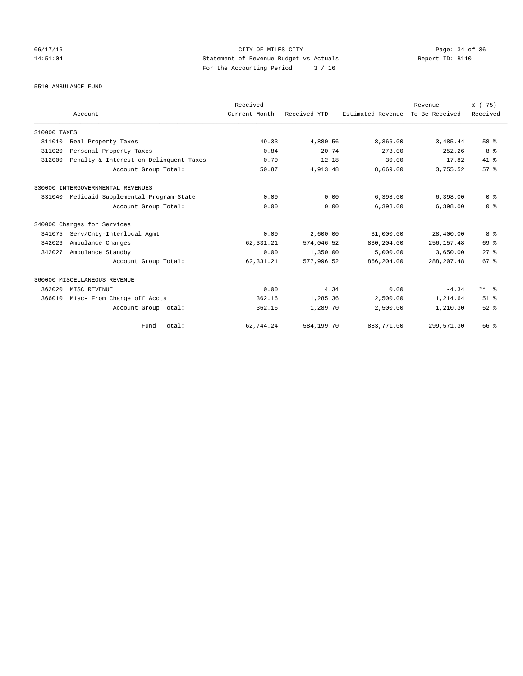# 06/17/16 Page: 34 of 36 14:51:04 Statement of Revenue Budget vs Actuals Report ID: B110 For the Accounting Period: 3 / 16

5510 AMBULANCE FUND

|              |                                        | Received      |              |                   | Revenue        | % (75)          |
|--------------|----------------------------------------|---------------|--------------|-------------------|----------------|-----------------|
|              | Account                                | Current Month | Received YTD | Estimated Revenue | To Be Received | Received        |
| 310000 TAXES |                                        |               |              |                   |                |                 |
| 311010       | Real Property Taxes                    | 49.33         | 4,880.56     | 8,366.00          | 3,485.44       | 58 %            |
| 311020       | Personal Property Taxes                | 0.84          | 20.74        | 273.00            | 252.26         | 8 %             |
| 312000       | Penalty & Interest on Delinquent Taxes | 0.70          | 12.18        | 30.00             | 17.82          | $41*$           |
|              | Account Group Total:                   | 50.87         | 4,913.48     | 8,669.00          | 3,755.52       | 57%             |
|              | 330000 INTERGOVERNMENTAL REVENUES      |               |              |                   |                |                 |
| 331040       | Medicaid Supplemental Program-State    | 0.00          | 0.00         | 6,398.00          | 6,398.00       | 0 <sup>8</sup>  |
|              | Account Group Total:                   | 0.00          | 0.00         | 6.398.00          | 6,398.00       | 0 <sup>8</sup>  |
|              | 340000 Charges for Services            |               |              |                   |                |                 |
| 341075       | Serv/Cnty-Interlocal Agmt              | 0.00          | 2,600.00     | 31,000.00         | 28,400.00      | 8 %             |
| 342026       | Ambulance Charges                      | 62, 331.21    | 574,046.52   | 830,204.00        | 256, 157.48    | 69 %            |
| 342027       | Ambulance Standby                      | 0.00          | 1,350.00     | 5,000.00          | 3,650.00       | $27$ $%$        |
|              | Account Group Total:                   | 62,331.21     | 577,996.52   | 866,204.00        | 288, 207.48    | 67 <sup>8</sup> |
|              | 360000 MISCELLANEOUS REVENUE           |               |              |                   |                |                 |
| 362020       | MISC REVENUE                           | 0.00          | 4.34         | 0.00              | $-4.34$        | $***$ $\approx$ |
| 366010       | Misc- From Charge off Accts            | 362.16        | 1,285.36     | 2,500.00          | 1,214.64       | $51$ $%$        |
|              | Account Group Total:                   | 362.16        | 1,289.70     | 2,500.00          | 1,210.30       | $52$ $%$        |
|              | Fund Total:                            | 62,744.24     | 584,199.70   | 883,771.00        | 299,571.30     | 66 %            |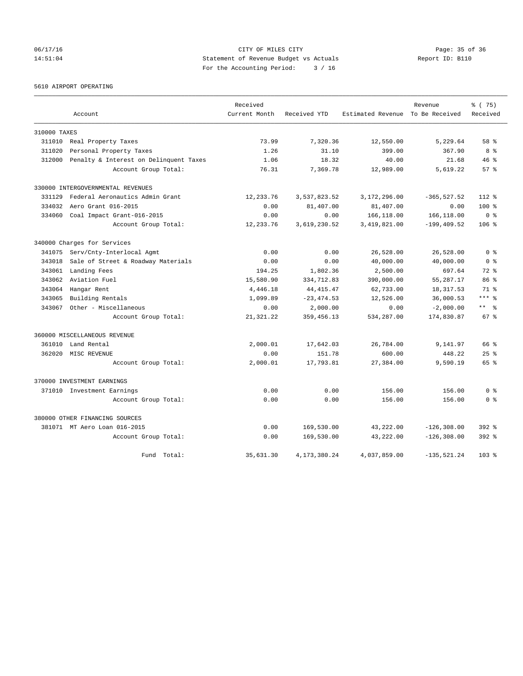# 06/17/16 Page: 35 of 36 14:51:04 Statement of Revenue Budget vs Actuals Report ID: B110 For the Accounting Period: 3 / 16

5610 AIRPORT OPERATING

|              |                                        | Received      |                 |                                  | Revenue        | % (75)          |
|--------------|----------------------------------------|---------------|-----------------|----------------------------------|----------------|-----------------|
|              | Account                                | Current Month | Received YTD    | Estimated Revenue To Be Received |                | Received        |
| 310000 TAXES |                                        |               |                 |                                  |                |                 |
| 311010       | Real Property Taxes                    | 73.99         | 7,320.36        | 12,550.00                        | 5,229.64       | 58 %            |
| 311020       | Personal Property Taxes                | 1.26          | 31.10           | 399.00                           | 367.90         | 8 %             |
| 312000       | Penalty & Interest on Delinquent Taxes | 1.06          | 18.32           | 40.00                            | 21.68          | $46*$           |
|              | Account Group Total:                   | 76.31         | 7,369.78        | 12,989.00                        | 5,619.22       | 57%             |
|              | 330000 INTERGOVERNMENTAL REVENUES      |               |                 |                                  |                |                 |
| 331129       | Federal Aeronautics Admin Grant        | 12,233.76     | 3,537,823.52    | 3,172,296.00                     | $-365, 527.52$ | $112*$          |
| 334032       | Aero Grant 016-2015                    | 0.00          | 81,407.00       | 81,407.00                        | 0.00           | $100$ %         |
| 334060       | Coal Impact Grant-016-2015             | 0.00          | 0.00            | 166,118.00                       | 166,118.00     | 0 <sup>8</sup>  |
|              | Account Group Total:                   | 12,233.76     | 3,619,230.52    | 3,419,821.00                     | $-199, 409.52$ | $106$ %         |
|              | 340000 Charges for Services            |               |                 |                                  |                |                 |
| 341075       | Serv/Cnty-Interlocal Agmt              | 0.00          | 0.00            | 26,528.00                        | 26,528.00      | 0 <sup>8</sup>  |
| 343018       | Sale of Street & Roadway Materials     | 0.00          | 0.00            | 40,000.00                        | 40,000.00      | 0 <sup>8</sup>  |
| 343061       | Landing Fees                           | 194.25        | 1,802.36        | 2,500.00                         | 697.64         | $72*$           |
| 343062       | Aviation Fuel                          | 15,580.90     | 334,712.83      | 390,000.00                       | 55, 287.17     | 86 %            |
| 343064       | Hangar Rent                            | 4,446.18      | 44, 415. 47     | 62,733.00                        | 18, 317.53     | $71*$           |
| 343065       | Building Rentals                       | 1,099.89      | $-23, 474.53$   | 12,526.00                        | 36,000.53      | $***$ $%$       |
| 343067       | Other - Miscellaneous                  | 0.00          | 2,000.00        | 0.00                             | $-2,000.00$    | $***$ $ -$      |
|              | Account Group Total:                   | 21, 321. 22   | 359, 456.13     | 534,287.00                       | 174,830.87     | 67 <sup>8</sup> |
|              | 360000 MISCELLANEOUS REVENUE           |               |                 |                                  |                |                 |
| 361010       | Land Rental                            | 2,000.01      | 17,642.03       | 26,784.00                        | 9,141.97       | 66 %            |
| 362020       | MISC REVENUE                           | 0.00          | 151.78          | 600.00                           | 448.22         | $25$ $%$        |
|              | Account Group Total:                   | 2,000.01      | 17,793.81       | 27,384.00                        | 9,590.19       | 65 %            |
|              | 370000 INVESTMENT EARNINGS             |               |                 |                                  |                |                 |
|              | 371010 Investment Earnings             | 0.00          | 0.00            | 156.00                           | 156.00         | 0 <sup>8</sup>  |
|              | Account Group Total:                   | 0.00          | 0.00            | 156.00                           | 156.00         | 0 <sup>8</sup>  |
|              | 380000 OTHER FINANCING SOURCES         |               |                 |                                  |                |                 |
|              | 381071 MT Aero Loan 016-2015           | 0.00          | 169,530.00      | 43,222.00                        | $-126, 308.00$ | $392$ $%$       |
|              | Account Group Total:                   | 0.00          | 169,530.00      | 43,222.00                        | $-126, 308.00$ | $392$ $%$       |
|              | Fund Total:                            | 35,631.30     | 4, 173, 380. 24 | 4,037,859.00                     | $-135, 521.24$ | 103 %           |